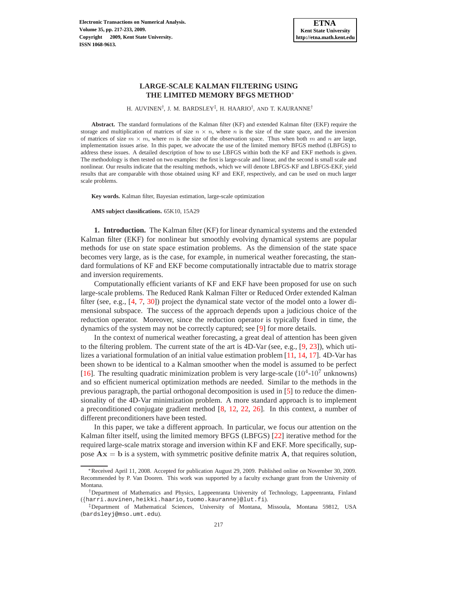H. AUVINEN<sup>†</sup>, J. M. BARDSLEY<sup>‡</sup>, H. HAARIO<sup>†</sup>, AND T. KAURANNE<sup>†</sup>

**Abstract.** The standard formulations of the Kalman filter (KF) and extended Kalman filter (EKF) require the storage and multiplication of matrices of size  $n \times n$ , where n is the size of the state space, and the inversion of matrices of size  $m \times m$ , where m is the size of the observation space. Thus when both m and n are large, implementation issues arise. In this paper, we advocate the use of the limited memory BFGS method (LBFGS) to address these issues. A detailed description of how to use LBFGS within both the KF and EKF methods is given. The methodology is then tested on two examples: the first is large-scale and linear, and the second is small scale and nonlinear. Our results indicate that the resulting methods, which we will denote LBFGS-KF and LBFGS-EKF, yield results that are comparable with those obtained using KF and EKF, respectively, and can be used on much larger scale problems.

**Key words.** Kalman filter, Bayesian estimation, large-scale optimization

**AMS subject classifications.** 65K10, 15A29

**1. Introduction.** The Kalman filter (KF) for linear dynamical systems and the extended Kalman filter (EKF) for nonlinear but smoothly evolving dynamical systems are popular methods for use on state space estimation problems. As the dimension of the state space becomes very large, as is the case, for example, in numerical weather forecasting, the standard formulations of KF and EKF become computationally intractable due to matrix storage and inversion requirements.

Computationally efficient variants of KF and EKF have been proposed for use on such large-scale problems. The Reduced Rank Kalman Filter or Reduced Order extended Kalman filter (see, e.g., [\[4,](#page-15-0) [7,](#page-15-1) [30\]](#page-16-0)) project the dynamical state vector of the model onto a lower dimensional subspace. The success of the approach depends upon a judicious choice of the reduction operator. Moreover, since the reduction operator is typically fixed in time, the dynamics of the system may not be correctly captured; see [\[9\]](#page-15-2) for more details.

In the context of numerical weather forecasting, a great deal of attention has been given to the filtering problem. The current state of the art is  $4D-Var$  (see, e.g., [\[9,](#page-15-2) [23\]](#page-15-3)), which utilizes a variational formulation of an initial value estimation problem [\[11,](#page-15-4) [14,](#page-15-5) [17\]](#page-15-6). 4D-Var has been shown to be identical to a Kalman smoother when the model is assumed to be perfect [\[16\]](#page-15-7). The resulting quadratic minimization problem is very large-scale  $(10^4$ - $10^7$  unknowns) and so efficient numerical optimization methods are needed. Similar to the methods in the previous paragraph, the partial orthogonal decomposition is used in [\[5\]](#page-15-8) to reduce the dimensionality of the 4D-Var minimization problem. A more standard approach is to implement a preconditioned conjugate gradient method [\[8,](#page-15-9) [12,](#page-15-10) [22,](#page-15-11) [26\]](#page-15-12). In this context, a number of different preconditioners have been tested.

In this paper, we take a different approach. In particular, we focus our attention on the Kalman filter itself, using the limited memory BFGS (LBFGS) [\[22\]](#page-15-11) iterative method for the required large-scale matrix storage and inversion within KF and EKF. More specifically, suppose  $\mathbf{A}\mathbf{x} = \mathbf{b}$  is a system, with symmetric positive definite matrix  $\mathbf{A}$ , that requires solution,

<sup>∗</sup>Received April 11, 2008. Accepted for publication August 29, 2009. Published online on November 30, 2009. Recommended by P. Van Dooren. This work was supported by a faculty exchange grant from the University of Montana.

<sup>†</sup>Department of Mathematics and Physics, Lappeenranta University of Technology, Lappeenranta, Finland ({harri.auvinen,heikki.haario,tuomo.kauranne}@lut.fi).

<sup>‡</sup>Department of Mathematical Sciences, University of Montana, Missoula, Montana 59812, USA (bardsleyj@mso.umt.edu).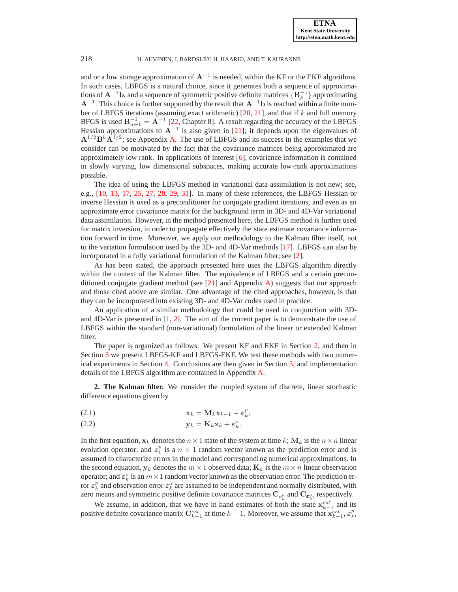and or a low storage approximation of  $A^{-1}$  is needed, within the KF or the EKF algorithms. In such cases, LBFGS is a natural choice, since it generates both a sequence of approximations of  $\mathbf{A}^{-1}\mathbf{b}$ , and a sequence of symmetric positive definite matrices  $\{ \mathbf{B}_k^{-1} \}$  approximating  $A^{-1}$ . This choice is further supported by the result that  $A^{-1}$ b is reached within a finite number of LBFGS iterations (assuming exact arithmetic)  $[20, 21]$  $[20, 21]$  $[20, 21]$ , and that if k and full memory BFGS is used  $B_{n+1}^{-1} = A^{-1}$  [\[22,](#page-15-11) Chapter 8]. A result regarding the accuracy of the LBFGS Hessian approximations to  $A^{-1}$  is also given in [\[21\]](#page-15-14); it depends upon the eigenvalues of  $A^{1/2}B^{k}A^{1/2}$ ; see Appendix [A.](#page-13-0) The use of LBFGS and its success in the examples that we consider can be motivated by the fact that the covariance matrices being approximated are approximately low rank. In applications of interest  $[6]$ , covariance information is contained in slowly varying, low dimensional subspaces, making accurate low-rank approximations possible.

The idea of using the LBFGS method in variational data assimilation is not new; see, e.g., [\[10,](#page-15-16) [13,](#page-15-17) [17,](#page-15-6) [25,](#page-15-18) [27,](#page-15-19) [28,](#page-15-20) [29,](#page-15-21) [31\]](#page-16-1). In many of these references, the LBFGS Hessian or inverse Hessian is used as a preconditioner for conjugate gradient iterations, and even as an approximate error covariance matrix for the background term in 3D- and 4D-Var variational data assimilation. However, in the method presented here, the LBFGS method is further used for matrix inversion, in order to propagate effectively the state estimate covariance information forward in time. Moreover, we apply our methodology to the Kalman filter itself, not to the variation formulation used by the 3D- and 4D-Var methods [\[17\]](#page-15-6). LBFGS can also be incorporated in a fully variational formulation of the Kalman filter; see [\[2\]](#page-14-0).

As has been stated, the approach presented here uses the LBFGS algorithm directly within the context of the Kalman filter. The equivalence of LBFGS and a certain preconditioned conjugate gradient method (see  $[21]$  and Appendix [A\)](#page-13-0) suggests that our approach and those cited above are similar. One advantage of the cited approaches, however, is that they can be incorporated into existing 3D- and 4D-Var codes used in practice.

An application of a similar methodology that could be used in conjunction with 3Dand 4D-Var is presented in [\[1,](#page-14-1) [2\]](#page-14-0). The aim of the current paper is to demonstrate the use of LBFGS within the standard (non-variational) formulation of the linear or extended Kalman filter.

The paper is organized as follows. We present KF and EKF in Section [2,](#page-1-0) and then in Section [3](#page-3-0) we present LBFGS-KF and LBFGS-EKF. We test these methods with two numerical experiments in Section [4.](#page-5-0) Conclusions are then given in Section [5,](#page-11-0) and implementation details of the LBFGS algorithm are contained in Appendix [A.](#page-13-0)

<span id="page-1-0"></span>**2. The Kalman filter.** We consider the coupled system of discrete, linear stochastic difference equations given by

<span id="page-1-1"></span>
$$
\mathbf{x}_k = \mathbf{M}_k \mathbf{x}_{k-1} + \boldsymbol{\varepsilon}_k^p,
$$

$$
y_k = K_k x_k + \varepsilon_k^o.
$$

In the first equation,  $x_k$  denotes the  $n \times 1$  state of the system at time k;  $M_k$  is the  $n \times n$  linear evolution operator; and  $\varepsilon_k^p$  is a  $n \times 1$  random vector known as the prediction error and is assumed to characterize errors in the model and corresponding numerical approximations. In the second equation,  $y_k$  denotes the  $m \times 1$  observed data;  $K_k$  is the  $m \times n$  linear observation operator; and  $\varepsilon_k^o$  is an  $m \times 1$  random vector known as the observation error. The prediction er-From  $\varepsilon_k^p$  and observation error  $\varepsilon_k^o$  are assumed to be independent and normally distributed, with zero means and symmetric positive definite covariance matrices  $C_{\varepsilon_k^p}$  and  $C_{\varepsilon_k^o}$ , respectively.

We assume, in addition, that we have in hand estimates of both the state  $x_{k-1}^{est}$  and its positive definite covariance matrix  $\mathbf{C}_{k-1}^{est}$  at time  $k-1$ . Moreover, we assume that  $\mathbf{x}_{k-1}^{est}, \boldsymbol{\varepsilon}_k^p$ ,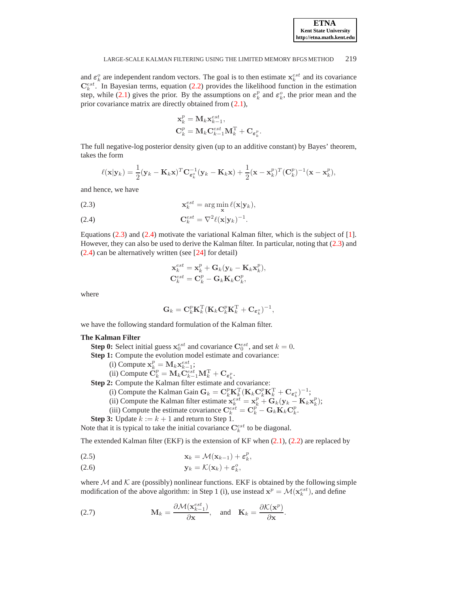and  $\varepsilon_k^o$  are independent random vectors. The goal is to then estimate  $x_k^{est}$  and its covariance  $\mathbf{C}_{k}^{est}$ . In Bayesian terms, equation [\(2.2\)](#page-1-1) provides the likelihood function in the estimation step, while [\(2.1\)](#page-1-1) gives the prior. By the assumptions on  $\varepsilon_k^p$  and  $\varepsilon_k^o$ , the prior mean and the prior covariance matrix are directly obtained from [\(2.1\)](#page-1-1),

$$
\begin{aligned} \mathbf{x}_k^p &= \mathbf{M}_k \mathbf{x}_{k-1}^{est}, \\ \mathbf{C}_k^p &= \mathbf{M}_k \mathbf{C}_{k-1}^{est} \mathbf{M}_k^{\mathrm{T}} + \mathbf{C}_{\pmb{\varepsilon}_k^p}. \end{aligned}
$$

The full negative-log posterior density given (up to an additive constant) by Bayes' theorem, takes the form

<span id="page-2-0"></span>
$$
\ell(\mathbf{x}|\mathbf{y}_k) = \frac{1}{2}(\mathbf{y}_k - \mathbf{K}_k \mathbf{x})^T \mathbf{C}_{\boldsymbol{\varepsilon}_k^o}^{-1} (\mathbf{y}_k - \mathbf{K}_k \mathbf{x}) + \frac{1}{2}(\mathbf{x} - \mathbf{x}_k^p)^T (\mathbf{C}_k^p)^{-1} (\mathbf{x} - \mathbf{x}_k^p),
$$

and hence, we have

(2.3) 
$$
\mathbf{x}_{k}^{est} = \arg\min_{\mathbf{x}} \ell(\mathbf{x}|\mathbf{y}_{k}),
$$

$$
\mathbf{C}_{k}^{est} = \nabla^{2} \ell(\mathbf{x}|\mathbf{y}_{k})^{-1}.
$$

Equations [\(2.3\)](#page-2-0) and [\(2.4\)](#page-2-0) motivate the variational Kalman filter, which is the subject of [\[1\]](#page-14-1). However, they can also be used to derive the Kalman filter. In particular, noting that [\(2.3\)](#page-2-0) and [\(2.4\)](#page-2-0) can be alternatively written (see [\[24\]](#page-15-22) for detail)

$$
\begin{aligned} \mathbf{x}_k^{est} &= \mathbf{x}_k^p + \mathbf{G}_k(\mathbf{y}_k - \mathbf{K}_k \mathbf{x}_k^p), \\ \mathbf{C}_k^{est} &= \mathbf{C}_k^p - \mathbf{G}_k \mathbf{K}_k \mathbf{C}_k^p, \end{aligned}
$$

where

$$
\mathbf{G}_k = \mathbf{C}_k^p \mathbf{K}_k^{\mathrm{T}} (\mathbf{K}_k \mathbf{C}_k^p \mathbf{K}_k^{\mathrm{T}} + \mathbf{C}_{\boldsymbol{\varepsilon}_k^o})^{-1},
$$

we have the following standard formulation of the Kalman filter.

# **The Kalman Filter**

- **Step 0:** Select initial guess  $\mathbf{x}_0^{est}$  and covariance  $\mathbf{C}_0^{est}$ , and set  $k = 0$ .
- **Step 1:** Compute the evolution model estimate and covariance:
	- (i) Compute  $\mathbf{x}_k^p = \mathbf{M}_k \mathbf{x}_{k-1}^{est}$ ;
	- (ii) Compute  $\ddot{\mathbf{C}}_k^p = \mathbf{M}_k \ddot{\mathbf{C}}_{k-1}^{est} \mathbf{M}_k^{\mathrm{T}} + \mathbf{C}_{\boldsymbol{\varepsilon}_k^p}$ .

**Step 2:** Compute the Kalman filter estimate and covariance:

- (i) Compute the Kalman Gain  $G_k = C_k^p K_k^T (K_k C_k^p K_k^T + C_{\epsilon_k^o})^{-1}$ ;
- (ii) Compute the Kalman filter estimate  $\mathbf{x}_{k}^{est} = \mathbf{x}_{k}^{p} + \mathbf{G}_{k}(\mathbf{y}_{k} \mathbf{K}_{k}\mathbf{x}_{k}^{p});$
- (iii) Compute the estimate covariance  $\mathbf{C}_{k}^{est} = \mathbf{C}_{k}^{p} \mathbf{G}_{k} \mathbf{K}_{k} \mathbf{C}_{k}^{p}$ .
- **Step 3:** Update  $k := k + 1$  and return to Step 1.

Note that it is typical to take the initial covariance  $\mathbf{C}_{k}^{est}$  to be diagonal.

The extended Kalman filter (EKF) is the extension of KF when  $(2.1)$ ,  $(2.2)$  are replaced by

<span id="page-2-2"></span>
$$
\mathbf{x}_k = \mathcal{M}(\mathbf{x}_{k-1}) + \boldsymbol{\varepsilon}_k^p,
$$

$$
y_k = \mathcal{K}(x_k) + \varepsilon_k^o,
$$

where  $M$  and  $K$  are (possibly) nonlinear functions. EKF is obtained by the following simple modification of the above algorithm: in Step 1 (i), use instead  $\mathbf{x}^p = \mathcal{M}(\mathbf{x}_k^{est})$ , and define

<span id="page-2-1"></span>(2.7) 
$$
\mathbf{M}_{k} = \frac{\partial \mathcal{M}(\mathbf{x}_{k-1}^{est})}{\partial \mathbf{x}}, \text{ and } \mathbf{K}_{k} = \frac{\partial \mathcal{K}(\mathbf{x}^{p})}{\partial \mathbf{x}}.
$$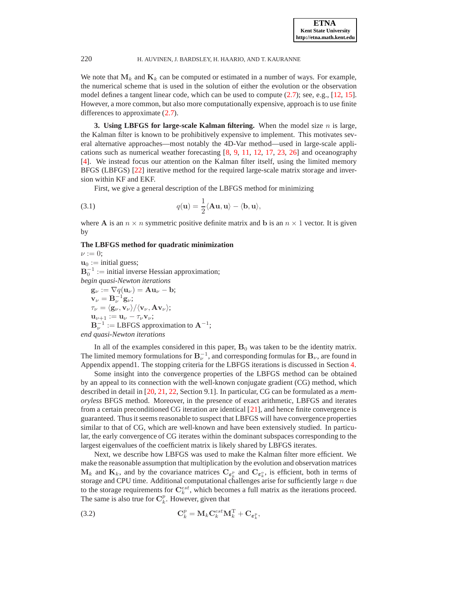We note that  $M_k$  and  $K_k$  can be computed or estimated in a number of ways. For example, the numerical scheme that is used in the solution of either the evolution or the observation model defines a tangent linear code, which can be used to compute [\(2.7\)](#page-2-1); see, e.g., [\[12,](#page-15-10) [15\]](#page-15-23). However, a more common, but also more computationally expensive, approach is to use finite differences to approximate [\(2.7\)](#page-2-1).

<span id="page-3-0"></span>**3. Using LBFGS for large-scale Kalman filtering.** When the model size  $n$  is large, the Kalman filter is known to be prohibitively expensive to implement. This motivates several alternative approaches—most notably the 4D-Var method—used in large-scale applications such as numerical weather forecasting [\[8,](#page-15-9) [9,](#page-15-2) [11,](#page-15-4) [12,](#page-15-10) [17,](#page-15-6) [23,](#page-15-3) [26\]](#page-15-12) and oceanography [\[4\]](#page-15-0). We instead focus our attention on the Kalman filter itself, using the limited memory BFGS (LBFGS) [\[22\]](#page-15-11) iterative method for the required large-scale matrix storage and inversion within KF and EKF.

<span id="page-3-1"></span>First, we give a general description of the LBFGS method for minimizing

(3.1) 
$$
q(\mathbf{u}) = \frac{1}{2} \langle \mathbf{A}\mathbf{u}, \mathbf{u} \rangle - \langle \mathbf{b}, \mathbf{u} \rangle,
$$

where **A** is an  $n \times n$  symmetric positive definite matrix and **b** is an  $n \times 1$  vector. It is given by

## **The LBFGS method for quadratic minimization**

 $\nu := 0;$  $\mathbf{u}_0 := \text{initial guess};$  $\mathbf{B}_0^{-1} := \text{initial inverse Hessian approximation};$ *begin quasi-Newton iterations*  $\mathbf{g}_{\nu} := \nabla q(\mathbf{u}_{\nu}) = \mathbf{A}\mathbf{u}_{\nu} - \mathbf{b};$  $\mathbf{v}_{\nu} = \mathbf{B}_{\nu}^{-1} \mathbf{g}_{\nu};$  $\tau_{\nu} = \langle g_{\nu}, v_{\nu} \rangle / \langle v_{\nu}, Av_{\nu} \rangle;$  $\mathbf{u}_{\nu+1} := \mathbf{u}_{\nu} - \tau_{\nu} \mathbf{v}_{\nu};$  $\mathbf{B}_{\nu}^{-1} := \text{LBFGS}$  approximation to  $\mathbf{A}^{-1}$ ;

*end quasi-Newton iterations*

In all of the examples considered in this paper,  $B_0$  was taken to be the identity matrix. The limited memory formulations for  $\mathbf{B}_{\nu}^{-1}$ , and corresponding formulas for  $\mathbf{B}_{\nu}$ , are found in Appendix append1. The stopping criteria for the LBFGS iterations is discussed in Section [4.](#page-5-0)

Some insight into the convergence properties of the LBFGS method can be obtained by an appeal to its connection with the well-known conjugate gradient (CG) method, which described in detail in [\[20,](#page-15-13) [21,](#page-15-14) [22,](#page-15-11) Section 9.1]. In particular, CG can be formulated as a *memoryless* BFGS method. Moreover, in the presence of exact arithmetic, LBFGS and iterates from a certain preconditioned CG iteration are identical [\[21\]](#page-15-14), and hence finite convergence is guaranteed. Thus it seems reasonable to suspect that LBFGS will have convergence properties similar to that of CG, which are well-known and have been extensively studied. In particular, the early convergence of CG iterates within the dominant subspaces corresponding to the largest eigenvalues of the coefficient matrix is likely shared by LBFGS iterates.

Next, we describe how LBFGS was used to make the Kalman filter more efficient. We make the reasonable assumption that multiplication by the evolution and observation matrices  $M_k$  and  $K_k$ , and by the covariance matrices  $C_{\epsilon_k^p}$  and  $C_{\epsilon_k^o}$ , is efficient, both in terms of storage and CPU time. Additional computational challenges arise for sufficiently large n due to the storage requirements for  $\mathbf{C}_k^{est}$ , which becomes a full matrix as the iterations proceed. The same is also true for  $\mathbf{C}_k^p$ . However, given that

(3.2) 
$$
\mathbf{C}_k^p = \mathbf{M}_k \mathbf{C}_k^{est} \mathbf{M}_k^{\mathrm{T}} + \mathbf{C}_{\boldsymbol{\varepsilon}_k^p},
$$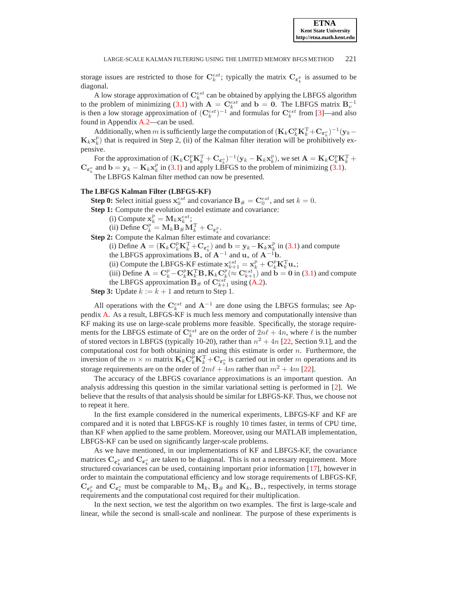storage issues are restricted to those for  $\mathbf{C}_k^{est}$ ; typically the matrix  $\mathbf{C}_{\varepsilon_k^p}$  is assumed to be diagonal.

A low storage approximation of  $\mathbf{C}_k^{est}$  can be obtained by applying the LBFGS algorithm to the problem of minimizing [\(3.1\)](#page-3-1) with  $\mathbf{A} = \mathbf{C}_k^{est}$  and  $\mathbf{b} = \mathbf{0}$ . The LBFGS matrix  $\mathbf{B}_\nu^{-1}$ is then a low storage approximation of  $(\mathbf{C}_{k}^{est})^{-1}$  and formulas for  $\mathbf{C}_{k}^{est}$  from [\[3\]](#page-15-24)—and also found in Appendix [A.2—](#page-14-2)can be used.

Additionally, when m is sufficiently large the computation of  $(\mathbf{K}_k \mathbf{C}_k^p \mathbf{K}_k^{\mathrm{T}} + \mathbf{C}_{\boldsymbol{\varepsilon}_k^o})^{-1} (\mathbf{y}_k \mathbf{K}_k \mathbf{x}_k^p$ ) that is required in Step 2, (ii) of the Kalman filter iteration will be prohibitively expensive.

For the approximation of  $(\mathbf{K}_k \mathbf{C}_k^p \mathbf{K}_k^{\mathrm{T}} + \mathbf{C}_{\epsilon_k^o})^{-1} (\mathbf{y}_k - \mathbf{K}_k \mathbf{x}_k^p)$ , we set  $\mathbf{A} = \mathbf{K}_k \mathbf{C}_k^p \mathbf{K}_k^{\mathrm{T}} + \mathbf{C}_k \mathbf{C}_k^p \mathbf{K}_k^{\mathrm{T}}$  $C_{\epsilon_k^o}$  and  $\mathbf{b} = \mathbf{y}_k - \mathbf{K}_k \mathbf{x}_k^p$  in [\(3.1\)](#page-3-1) and apply LBFGS to the problem of minimizing [\(3.1\)](#page-3-1).

The LBFGS Kalman filter method can now be presented.

## **The LBFGS Kalman Filter (LBFGS-KF)**

- **Step 0:** Select initial guess  $\mathbf{x}_0^{est}$  and covariance  $\mathbf{B}_{\#} = \mathbf{C}_0^{est}$ , and set  $k = 0$ .
- **Step 1:** Compute the evolution model estimate and covariance:
	- (i) Compute  $\mathbf{x}_k^p = \mathbf{M}_k \mathbf{x}_k^{est}$ ;

(ii) Define  $\mathbf{C}_k^p = \mathbf{M}_k \mathbf{B}_{\#} \mathbf{M}_k^{\mathrm{T}} + \mathbf{C}_{\epsilon_k^p}$ .

**Step 2:** Compute the Kalman filter estimate and covariance:

(i) Define  $\mathbf{A} = (\mathbf{K}_k \mathbf{C}_k^p \mathbf{K}_k^{\mathrm{T}} + \mathbf{C}_{\epsilon_k^o})$  and  $\mathbf{b} = \mathbf{y}_k - \mathbf{K}_k \mathbf{x}_k^p$  in [\(3.1\)](#page-3-1) and compute

the LBFGS approximations  $B_*$  of  $A^{-1}$  and  $u_*$  of  $A^{-1}b$ .

(ii) Compute the LBFGS-KF estimate  $\mathbf{x}_{k+1}^{est} = \mathbf{x}_k^p + \mathbf{C}_k^p \mathbf{K}_k^T \mathbf{u}_*$ ;

(iii) Define  $\mathbf{A} = \mathbf{C}_k^p - \mathbf{C}_k^p \mathbf{K}_k^T \mathbf{B}_* \mathbf{K}_k \mathbf{C}_k^p (\approx \mathbf{C}_{k+1}^{est})$  and  $\mathbf{b} = \mathbf{0}$  in [\(3.1\)](#page-3-1) and compute the LBFGS approximation  $\mathbf{B}_{\#}$  of  $\mathbf{C}_{k+1}^{est}$  using [\(A.2\)](#page-14-3).

**Step 3:** Update  $k := k + 1$  and return to Step 1.

All operations with the  $\mathbf{C}_k^{est}$  and  $\mathbf{A}^{-1}$  are done using the LBFGS formulas; see Appendix [A.](#page-13-0) As a result, LBFGS-KF is much less memory and computationally intensive than KF making its use on large-scale problems more feasible. Specifically, the storage requirements for the LBFGS estimate of  $\mathbf{C}_{k}^{est}$  are on the order of  $2n\ell + 4n$ , where  $\ell$  is the number of stored vectors in LBFGS (typically 10-20), rather than  $n^2 + 4n$  [\[22,](#page-15-11) Section 9.1], and the computational cost for both obtaining and using this estimate is order  $n$ . Furthermore, the inversion of the  $m \times m$  matrix  $\mathbf{K}_k \mathbf{C}_k^p \mathbf{K}_k^T + \mathbf{C}_{\epsilon_k^o}$  is carried out in order m operations and its storage requirements are on the order of  $2m\ell + 4m$  rather than  $m^2 + 4m$  [\[22\]](#page-15-11).

The accuracy of the LBFGS covariance approximations is an important question. An analysis addressing this question in the similar variational setting is performed in [\[2\]](#page-14-0). We believe that the results of that analysis should be similar for LBFGS-KF. Thus, we choose not to repeat it here.

In the first example considered in the numerical experiments, LBFGS-KF and KF are compared and it is noted that LBFGS-KF is roughly 10 times faster, in terms of CPU time, than KF when applied to the same problem. Moreover, using our MATLAB implementation, LBFGS-KF can be used on significantly larger-scale problems.

As we have mentioned, in our implementations of KF and LBFGS-KF, the covariance matrices  $\mathbf{C}_{\epsilon_k^p}$  and  $\mathbf{C}_{\epsilon_k^o}$  are taken to be diagonal. This is not a necessary requirement. More structured covariances can be used, containing important prior information [\[17\]](#page-15-6), however in order to maintain the computational efficiency and low storage requirements of LBFGS-KF,  $\mathbf{C}_{\epsilon_k^p}$  and  $\mathbf{C}_{\epsilon_k^o}$  must be comparable to  $\mathbf{M}_k$ ,  $\mathbf{B}_{\#}$  and  $\mathbf{K}_k$ ,  $\mathbf{B}_{*}$ , respectively, in terms storage requirements and the computational cost required for their multiplication.

In the next section, we test the algorithm on two examples. The first is large-scale and linear, while the second is small-scale and nonlinear. The purpose of these experiments is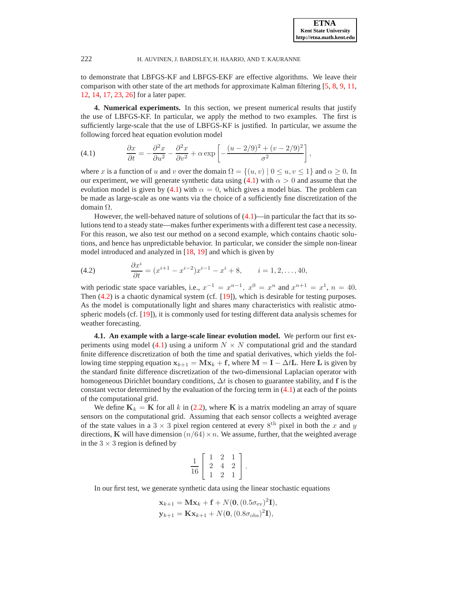,

# 222 H. AUVINEN, J. BARDSLEY, H. HAARIO, AND T. KAURANNE

to demonstrate that LBFGS-KF and LBFGS-EKF are effective algorithms. We leave their comparison with other state of the art methods for approximate Kalman filtering [\[5,](#page-15-8) [8,](#page-15-9) [9,](#page-15-2) [11,](#page-15-4) [12,](#page-15-10) [14,](#page-15-5) [17,](#page-15-6) [23,](#page-15-3) [26\]](#page-15-12) for a later paper.

<span id="page-5-0"></span>**4. Numerical experiments.** In this section, we present numerical results that justify the use of LBFGS-KF. In particular, we apply the method to two examples. The first is sufficiently large-scale that the use of LBFGS-KF is justified. In particular, we assume the following forced heat equation evolution model

<span id="page-5-1"></span>(4.1) 
$$
\frac{\partial x}{\partial t} = -\frac{\partial^2 x}{\partial u^2} - \frac{\partial^2 x}{\partial v^2} + \alpha \exp\left[-\frac{(u-2/9)^2 + (v-2/9)^2}{\sigma^2}\right]
$$

where x is a function of u and v over the domain  $\Omega = \{(u, v) | 0 \le u, v \le 1\}$  and  $\alpha \ge 0$ . In our experiment, we will generate synthetic data using [\(4.1\)](#page-5-1) with  $\alpha > 0$  and assume that the evolution model is given by [\(4.1\)](#page-5-1) with  $\alpha = 0$ , which gives a model bias. The problem can be made as large-scale as one wants via the choice of a sufficiently fine discretization of the domain Ω.

However, the well-behaved nature of solutions of  $(4.1)$ —in particular the fact that its solutions tend to a steady state—makes further experiments with a different test case a necessity. For this reason, we also test our method on a second example, which contains chaotic solutions, and hence has unpredictable behavior. In particular, we consider the simple non-linear model introduced and analyzed in [\[18,](#page-15-25) [19\]](#page-15-26) and which is given by

<span id="page-5-2"></span>(4.2) 
$$
\frac{\partial x^i}{\partial t} = (x^{i+1} - x^{i-2})x^{i-1} - x^i + 8, \qquad i = 1, 2, ..., 40,
$$

with periodic state space variables, i.e.,  $x^{-1} = x^{n-1}$ ,  $x^0 = x^n$  and  $x^{n+1} = x^1$ ,  $n = 40$ . Then  $(4.2)$  is a chaotic dynamical system (cf. [\[19\]](#page-15-26)), which is desirable for testing purposes. As the model is computationally light and shares many characteristics with realistic atmospheric models (cf. [\[19\]](#page-15-26)), it is commonly used for testing different data analysis schemes for weather forecasting.

**4.1. An example with a large-scale linear evolution model.** We perform our first ex-periments using model [\(4.1\)](#page-5-1) using a uniform  $N \times N$  computational grid and the standard finite difference discretization of both the time and spatial derivatives, which yields the following time stepping equation  $x_{k+1} = Mx_k + f$ , where  $M = I - \Delta tL$ . Here L is given by the standard finite difference discretization of the two-dimensional Laplacian operator with homogeneous Dirichlet boundary conditions,  $\Delta t$  is chosen to guarantee stability, and f is the constant vector determined by the evaluation of the forcing term in  $(4.1)$  at each of the points of the computational grid.

We define  $K_k = K$  for all k in [\(2.2\)](#page-1-1), where K is a matrix modeling an array of square sensors on the computational grid. Assuming that each sensor collects a weighted average of the state values in a 3  $\times$  3 pixel region centered at every 8<sup>th</sup> pixel in both the x and y directions, K will have dimension  $(n/64) \times n$ . We assume, further, that the weighted average in the  $3 \times 3$  region is defined by

$$
\frac{1}{16} \left[ \begin{array}{rrr} 1 & 2 & 1 \\ 2 & 4 & 2 \\ 1 & 2 & 1 \end{array} \right].
$$

In our first test, we generate synthetic data using the linear stochastic equations

$$
\mathbf{x}_{k+1} = \mathbf{M}\mathbf{x}_k + \mathbf{f} + N(\mathbf{0}, (0.5\sigma_{\text{ev}})^2 \mathbf{I}),
$$
  

$$
\mathbf{y}_{k+1} = \mathbf{K}\mathbf{x}_{k+1} + N(\mathbf{0}, (0.8\sigma_{\text{obs}})^2 \mathbf{I}),
$$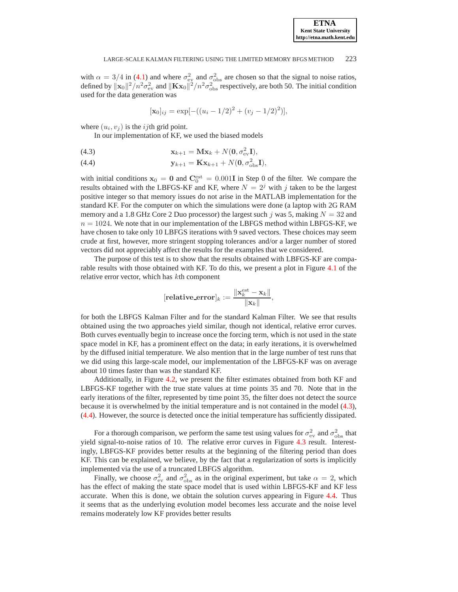with  $\alpha = 3/4$  in [\(4.1\)](#page-5-1) and where  $\sigma_{\rm ev}^2$  and  $\sigma_{\rm obs}^2$  are chosen so that the signal to noise ratios, defined by  $||\mathbf{x}_0||^2/n^2\sigma_{ev}^2$  and  $||\mathbf{Kx}_0||^2/n^2\sigma_{obs}^2$  respectively, are both 50. The initial condition used for the data generation was

$$
[\mathbf{x}_0]_{ij} = \exp[-((u_i - 1/2)^2 + (v_j - 1/2)^2)],
$$

where  $(u_i, v_j)$  is the *ij*th grid point.

<span id="page-6-0"></span>In our implementation of KF, we used the biased models

(4.3) 
$$
\mathbf{x}_{k+1} = \mathbf{M}\mathbf{x}_k + N(\mathbf{0}, \sigma_{\text{ev}}^2 \mathbf{I}),
$$

(4.4) 
$$
\mathbf{y}_{k+1} = \mathbf{K} \mathbf{x}_{k+1} + N(\mathbf{0}, \sigma_{\text{obs}}^2 \mathbf{I}),
$$

with initial conditions  $x_0 = 0$  and  $C_0^{\text{est}} = 0.001$  I in Step 0 of the filter. We compare the results obtained with the LBFGS-KF and KF, where  $N = 2<sup>j</sup>$  with j taken to be the largest positive integer so that memory issues do not arise in the MATLAB implementation for the standard KF. For the computer on which the simulations were done (a laptop with 2G RAM memory and a 1.8 GHz Core 2 Duo processor) the largest such j was 5, making  $N = 32$  and  $n = 1024$ . We note that in our implementation of the LBFGS method within LBFGS-KF, we have chosen to take only 10 LBFGS iterations with 9 saved vectors. These choices may seem crude at first, however, more stringent stopping tolerances and/or a larger number of stored vectors did not appreciably affect the results for the examples that we considered.

The purpose of this test is to show that the results obtained with LBFGS-KF are comparable results with those obtained with KF. To do this, we present a plot in Figure [4.1](#page-7-0) of the relative error vector, which has kth component

$$
[\textbf{relative\_error}]_k := \frac{\|\mathbf{x}_k^{\text{est}} - \mathbf{x}_k\|}{\|\mathbf{x}_k\|},
$$

for both the LBFGS Kalman Filter and for the standard Kalman Filter. We see that results obtained using the two approaches yield similar, though not identical, relative error curves. Both curves eventually begin to increase once the forcing term, which is not used in the state space model in KF, has a prominent effect on the data; in early iterations, it is overwhelmed by the diffused initial temperature. We also mention that in the large number of test runs that we did using this large-scale model, our implementation of the LBFGS-KF was on average about 10 times faster than was the standard KF.

Additionally, in Figure [4.2,](#page-8-0) we present the filter estimates obtained from both KF and LBFGS-KF together with the true state values at time points 35 and 70. Note that in the early iterations of the filter, represented by time point 35, the filter does not detect the source because it is overwhelmed by the initial temperature and is not contained in the model [\(4.3\)](#page-6-0), [\(4.4\)](#page-6-0). However, the source is detected once the initial temperature has sufficiently dissipated.

For a thorough comparison, we perform the same test using values for  $\sigma_{ev}^2$  and  $\sigma_{obs}^2$  that yield signal-to-noise ratios of 10. The relative error curves in Figure [4.3](#page-9-0) result. Interestingly, LBFGS-KF provides better results at the beginning of the filtering period than does KF. This can be explained, we believe, by the fact that a regularization of sorts is implicitly implemented via the use of a truncated LBFGS algorithm.

Finally, we choose  $\sigma_{ev}^2$  and  $\sigma_{obs}^2$  as in the original experiment, but take  $\alpha = 2$ , which has the effect of making the state space model that is used within LBFGS-KF and KF less accurate. When this is done, we obtain the solution curves appearing in Figure [4.4.](#page-9-1) Thus it seems that as the underlying evolution model becomes less accurate and the noise level remains moderately low KF provides better results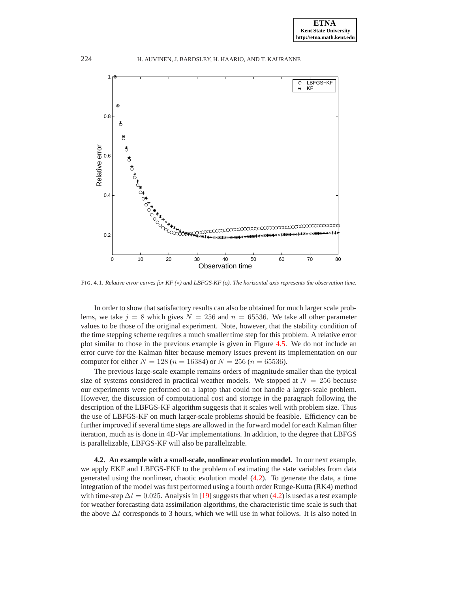

<span id="page-7-0"></span>FIG. 4.1. *Relative error curves for KF (*∗*) and LBFGS-KF (o). The horizontal axis represents the observation time.*

In order to show that satisfactory results can also be obtained for much larger scale problems, we take  $j = 8$  which gives  $N = 256$  and  $n = 65536$ . We take all other parameter values to be those of the original experiment. Note, however, that the stability condition of the time stepping scheme requires a much smaller time step for this problem. A relative error plot similar to those in the previous example is given in Figure [4.5.](#page-10-0) We do not include an error curve for the Kalman filter because memory issues prevent its implementation on our computer for either  $N = 128$  ( $n = 16384$ ) or  $N = 256$  ( $n = 65536$ ).

The previous large-scale example remains orders of magnitude smaller than the typical size of systems considered in practical weather models. We stopped at  $N = 256$  because our experiments were performed on a laptop that could not handle a larger-scale problem. However, the discussion of computational cost and storage in the paragraph following the description of the LBFGS-KF algorithm suggests that it scales well with problem size. Thus the use of LBFGS-KF on much larger-scale problems should be feasible. Efficiency can be further improved if several time steps are allowed in the forward model for each Kalman filter iteration, much as is done in 4D-Var implementations. In addition, to the degree that LBFGS is parallelizable, LBFGS-KF will also be parallelizable.

**4.2. An example with a small-scale, nonlinear evolution model.** In our next example, we apply EKF and LBFGS-EKF to the problem of estimating the state variables from data generated using the nonlinear, chaotic evolution model [\(4.2\)](#page-5-2). To generate the data, a time integration of the model was first performed using a fourth order Runge-Kutta (RK4) method with time-step  $\Delta t = 0.025$ . Analysis in [\[19\]](#page-15-26) suggests that when [\(4.2\)](#page-5-2) is used as a test example for weather forecasting data assimilation algorithms, the characteristic time scale is such that the above  $\Delta t$  corresponds to 3 hours, which we will use in what follows. It is also noted in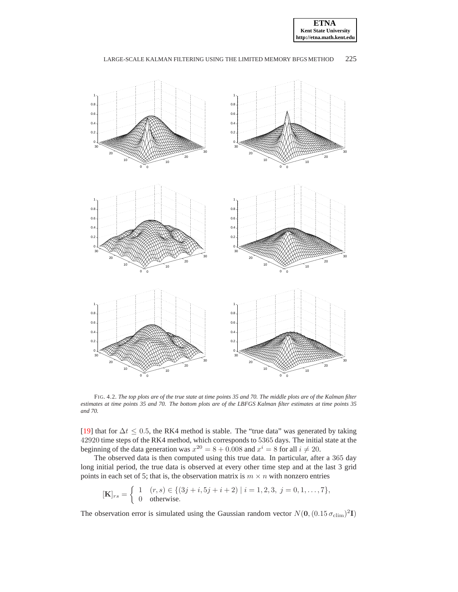



<span id="page-8-0"></span>FIG. 4.2. *The top plots are of the true state at time points 35 and 70. The middle plots are of the Kalman filter estimates at time points 35 and 70. The bottom plots are of the LBFGS Kalman filter estimates at time points 35 and 70.*

[\[19\]](#page-15-26) that for  $\Delta t \leq 0.5$ , the RK4 method is stable. The "true data" was generated by taking 42920 time steps of the RK4 method, which corresponds to 5365 days. The initial state at the beginning of the data generation was  $x^{20} = 8 + 0.008$  and  $x^i = 8$  for all  $i \neq 20$ .

The observed data is then computed using this true data. In particular, after a 365 day long initial period, the true data is observed at every other time step and at the last 3 grid points in each set of 5; that is, the observation matrix is  $m \times n$  with nonzero entries

$$
[\mathbf{K}]_{rs} = \begin{cases} 1 & (r,s) \in \{ (3j+i, 5j+i+2) \mid i = 1,2,3, j = 0,1,\ldots,7 \}, \\ 0 & \text{otherwise.} \end{cases}
$$

The observation error is simulated using the Gaussian random vector  $N(\mathbf{0}, (0.15 \sigma_{\text{clim}})^2 \mathbf{I})$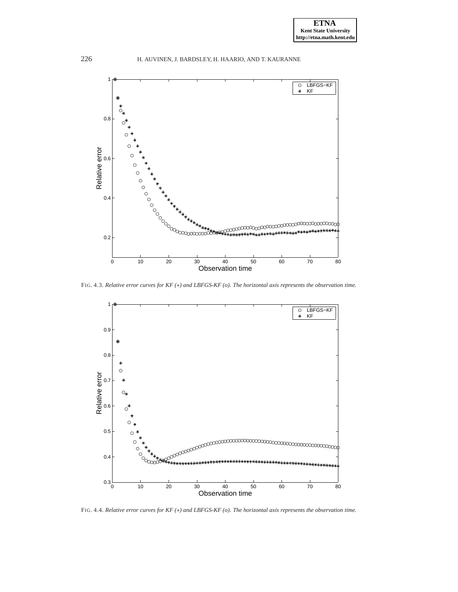

<span id="page-9-0"></span>FIG. 4.3. *Relative error curves for KF (*∗*) and LBFGS-KF (o). The horizontal axis represents the observation time.*



<span id="page-9-1"></span>FIG. 4.4. *Relative error curves for KF (*∗*) and LBFGS-KF (o). The horizontal axis represents the observation time.*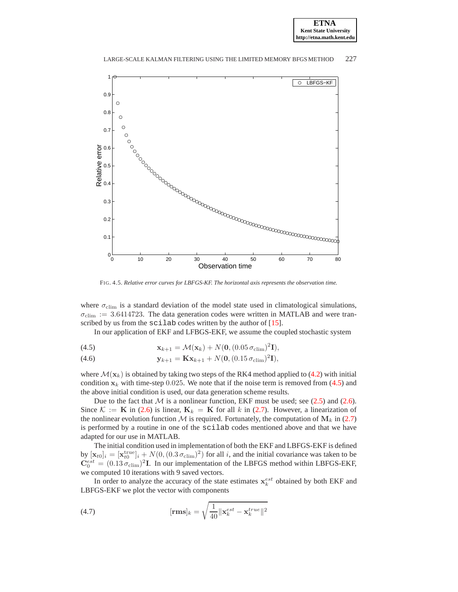



FIG. 4.5. *Relative error curves for LBFGS-KF. The horizontal axis represents the observation time.*

<span id="page-10-0"></span>where  $\sigma_{\text{elim}}$  is a standard deviation of the model state used in climatological simulations,  $\sigma_{\text{elim}} := 3.6414723$ . The data generation codes were written in MATLAB and were tran-scribed by us from the scilab codes written by the author of [\[15\]](#page-15-23).

<span id="page-10-1"></span>In our application of EKF and LFBGS-EKF, we assume the coupled stochastic system

(4.5) 
$$
\mathbf{x}_{k+1} = \mathcal{M}(\mathbf{x}_k) + N(\mathbf{0}, (0.05 \sigma_{\text{clip}})^2 \mathbf{I}),
$$

(4.6) 
$$
\mathbf{y}_{k+1} = \mathbf{K} \mathbf{x}_{k+1} + N(\mathbf{0}, (0.15 \sigma_{\text{clim}})^2 \mathbf{I}),
$$

where  $\mathcal{M}(\mathbf{x}_k)$  is obtained by taking two steps of the RK4 method applied to [\(4.2\)](#page-5-2) with initial condition  $x_k$  with time-step 0.025. We note that if the noise term is removed from [\(4.5\)](#page-10-1) and the above initial condition is used, our data generation scheme results.

Due to the fact that  $M$  is a nonlinear function, EKF must be used; see [\(2.5\)](#page-2-2) and [\(2.6\)](#page-2-2). Since  $\mathcal{K} := \mathbf{K}$  in [\(2.6\)](#page-2-2) is linear,  $\mathbf{K}_k = \mathbf{K}$  for all k in [\(2.7\)](#page-2-1). However, a linearization of the nonlinear evolution function  $M$  is required. Fortunately, the computation of  $M_k$  in [\(2.7\)](#page-2-1) is performed by a routine in one of the scilab codes mentioned above and that we have adapted for our use in MATLAB.

The initial condition used in implementation of both the EKF and LBFGS-EKF is defined by  $[\mathbf{x}_{t0}]_i = [\mathbf{x}_{t0}^{\text{true}}]_i + N(0, (0.3 \sigma_{\text{elim}})^2)$  for all i, and the initial covariance was taken to be  $\mathbf{C}_0^{est} = (0.13 \sigma_{\text{elim}})^2 \mathbf{I}$ . In our implementation of the LBFGS method within LBFGS-EKF, we computed 10 iterations with 9 saved vectors.

In order to analyze the accuracy of the state estimates  $\mathbf{x}_k^{est}$  obtained by both EKF and LBFGS-EKF we plot the vector with components

(4.7) 
$$
[\mathbf{rms}]_k = \sqrt{\frac{1}{40} ||\mathbf{x}_k^{est} - \mathbf{x}_k^{true}||^2}
$$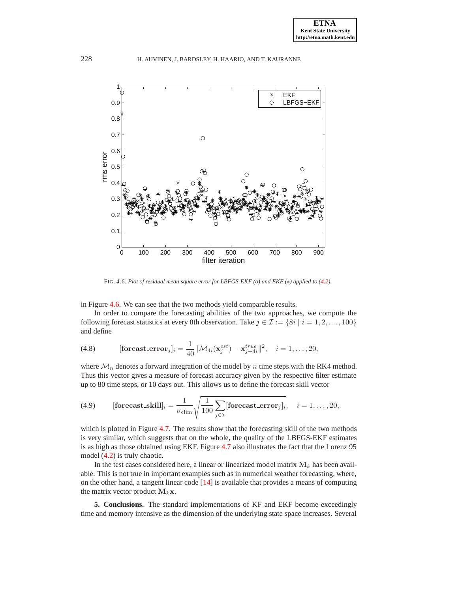

FIG. 4.6. *Plot of residual mean square error for LBFGS-EKF (o) and EKF (*∗*) applied to [\(4.2\)](#page-5-2).*

<span id="page-11-1"></span>in Figure [4.6.](#page-11-1) We can see that the two methods yield comparable results.

In order to compare the forecasting abilities of the two approaches, we compute the following forecast statistics at every 8th observation. Take  $j \in \mathcal{I} := \{8i \mid i = 1, 2, \ldots, 100\}$ and define

(4.8) 
$$
[\textbf{forecast\_error}_j]_i = \frac{1}{40} ||\mathcal{M}_{4i}(\mathbf{x}_j^{est}) - \mathbf{x}_{j+4i}^{true}||^2, \quad i = 1, \ldots, 20,
$$

where  $\mathcal{M}_n$  denotes a forward integration of the model by n time steps with the RK4 method. Thus this vector gives a measure of forecast accuracy given by the respective filter estimate up to 80 time steps, or 10 days out. This allows us to define the forecast skill vector

(4.9) [forecast\\_skill]<sub>i</sub> = 
$$
\frac{1}{\sigma_{\text{elim}}} \sqrt{\frac{1}{100} \sum_{j \in \mathcal{I}} [\text{forecast\_error}_j]_i}
$$
,  $i = 1, ..., 20$ ,

which is plotted in Figure [4.7.](#page-12-0) The results show that the forecasting skill of the two methods is very similar, which suggests that on the whole, the quality of the LBFGS-EKF estimates is as high as those obtained using EKF. Figure [4.7](#page-12-0) also illustrates the fact that the Lorenz 95 model [\(4.2\)](#page-5-2) is truly chaotic.

In the test cases considered here, a linear or linearized model matrix  $M_k$  has been available. This is not true in important examples such as in numerical weather forecasting, where, on the other hand, a tangent linear code [\[14\]](#page-15-5) is available that provides a means of computing the matrix vector product  $M_k$ x.

<span id="page-11-0"></span>**5. Conclusions.** The standard implementations of KF and EKF become exceedingly time and memory intensive as the dimension of the underlying state space increases. Several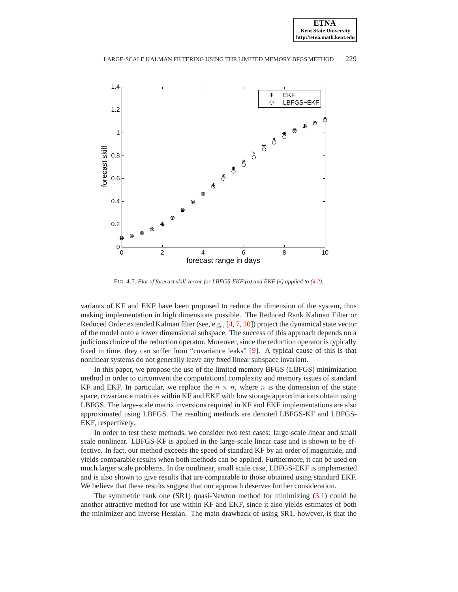

FIG. 4.7. *Plot of forecast skill vector for LBFGS-EKF (o) and EKF (*∗*) applied to [\(4.2\)](#page-5-2).*

<span id="page-12-0"></span>variants of KF and EKF have been proposed to reduce the dimension of the system, thus making implementation in high dimensions possible. The Reduced Rank Kalman Filter or Reduced Order extended Kalman filter (see, e.g., [\[4,](#page-15-0) [7,](#page-15-1) [30\]](#page-16-0)) project the dynamical state vector of the model onto a lower dimensional subspace. The success of this approach depends on a judicious choice of the reduction operator. Moreover, since the reduction operator is typically fixed in time, they can suffer from "covariance leaks" [\[9\]](#page-15-2). A typical cause of this is that nonlinear systems do not generally leave any fixed linear subspace invariant.

In this paper, we propose the use of the limited memory BFGS (LBFGS) minimization method in order to circumvent the computational complexity and memory issues of standard KF and EKF. In particular, we replace the  $n \times n$ , where n is the dimension of the state space, covariance matrices within KF and EKF with low storage approximations obtain using LBFGS. The large-scale matrix inversions required in KF and EKF implementations are also approximated using LBFGS. The resulting methods are denoted LBFGS-KF and LBFGS-EKF, respectively.

In order to test these methods, we consider two test cases: large-scale linear and small scale nonlinear. LBFGS-KF is applied in the large-scale linear case and is shown to be effective. In fact, our method exceeds the speed of standard KF by an order of magnitude, and yields comparable results when both methods can be applied. Furthermore, it can be used on much larger scale problems. In the nonlinear, small scale case, LBFGS-EKF is implemented and is also shown to give results that are comparable to those obtained using standard EKF. We believe that these results suggest that our approach deserves further consideration.

The symmetric rank one  $(SR1)$  quasi-Newton method for minimizing  $(3.1)$  could be another attractive method for use within KF and EKF, since it also yields estimates of both the minimizer and inverse Hessian. The main drawback of using SR1, however, is that the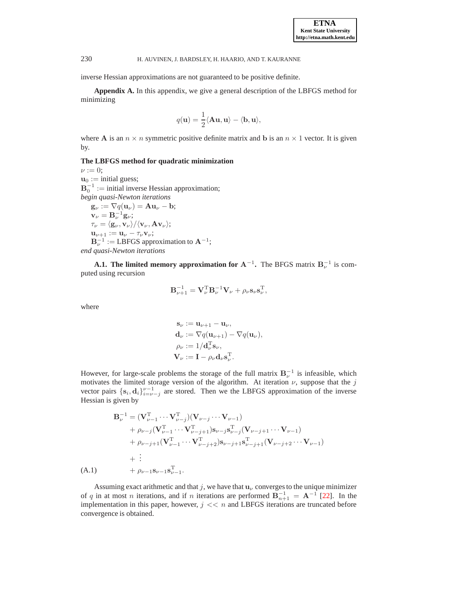<span id="page-13-0"></span>inverse Hessian approximations are not guaranteed to be positive definite.

**Appendix A.** In this appendix, we give a general description of the LBFGS method for minimizing

$$
q(\mathbf{u}) = \frac{1}{2} \langle \mathbf{A} \mathbf{u}, \mathbf{u} \rangle - \langle \mathbf{b}, \mathbf{u} \rangle,
$$

where A is an  $n \times n$  symmetric positive definite matrix and b is an  $n \times 1$  vector. It is given by.

# **The LBFGS method for quadratic minimization**

 $\nu := 0$ ;  $\mathbf{u}_0 := \text{initial guess};$  $B_0^{-1}$  := initial inverse Hessian approximation; *begin quasi-Newton iterations*  $\mathbf{g}_{\nu} := \nabla q(\mathbf{u}_{\nu}) = \mathbf{A}\mathbf{u}_{\nu} - \mathbf{b};$  $v_{\nu} = B_{\nu}^{-1} g_{\nu};$  $\tau_{\nu} = \langle \mathbf{g}_{\nu}, \mathbf{v}_{\nu} \rangle / \langle \mathbf{v}_{\nu}, \mathbf{A} \mathbf{v}_{\nu} \rangle;$  $\mathbf{u}_{\nu+1} := \mathbf{u}_{\nu} - \tau_{\nu} \mathbf{v}_{\nu};$ 

 $\mathbf{B}_{\nu}^{-1} := \text{LBFGS}$  approximation to  $\mathbf{A}^{-1}$ ;

*end quasi-Newton iterations*

**A.1.** The limited memory approximation for  $A^{-1}$ . The BFGS matrix  $B^{-1}_{\nu}$  is computed using recursion

$$
\mathbf{B}_{\nu+1}^{-1} = \mathbf{V}_{\nu}^{\mathrm{T}} \mathbf{B}_{\nu}^{-1} \mathbf{V}_{\nu} + \rho_{\nu} \mathbf{s}_{\nu} \mathbf{s}_{\nu}^{\mathrm{T}},
$$

where

 $(A.1)$ 

$$
\mathbf{s}_{\nu} := \mathbf{u}_{\nu+1} - \mathbf{u}_{\nu},
$$
  
\n
$$
\mathbf{d}_{\nu} := \nabla q(\mathbf{u}_{\nu+1}) - \nabla q(\mathbf{u}_{\nu}),
$$
  
\n
$$
\rho_{\nu} := 1/\mathbf{d}_{\nu}^{\mathrm{T}} \mathbf{s}_{\nu},
$$
  
\n
$$
\mathbf{V}_{\nu} := \mathbf{I} - \rho_{\nu} \mathbf{d}_{\nu} \mathbf{s}_{\nu}^{\mathrm{T}}.
$$

However, for large-scale problems the storage of the full matrix  $B_{\nu}^{-1}$  is infeasible, which motivates the limited storage version of the algorithm. At iteration  $\nu$ , suppose that the j vector pairs  $\{s_i, d_i\}_{i=\nu-j}^{\nu-1}$  are stored. Then we the LBFGS approximation of the inverse Hessian is given by

<span id="page-13-1"></span>
$$
\mathbf{B}_{\nu}^{-1} = (\mathbf{V}_{\nu-1}^{T} \cdots \mathbf{V}_{\nu-j}^{T})(\mathbf{V}_{\nu-j} \cdots \mathbf{V}_{\nu-1}) \n+ \rho_{\nu-j}(\mathbf{V}_{\nu-1}^{T} \cdots \mathbf{V}_{\nu-j+1}^{T}) \mathbf{s}_{\nu-j} \mathbf{s}_{\nu-j}^{T} (\mathbf{V}_{\nu-j+1} \cdots \mathbf{V}_{\nu-1}) \n+ \rho_{\nu-j+1}(\mathbf{V}_{\nu-1}^{T} \cdots \mathbf{V}_{\nu-j+2}^{T}) \mathbf{s}_{\nu-j+1} \mathbf{s}_{\nu-j+1}^{T} (\mathbf{V}_{\nu-j+2} \cdots \mathbf{V}_{\nu-1}) \n+ \vdots \n+ \rho_{\nu-1} \mathbf{s}_{\nu-1} \mathbf{s}_{\nu-1}^{T}.
$$

Assuming exact arithmetic and that j, we have that  $u<sub>\nu</sub>$  converges to the unique minimizer of q in at most n iterations, and if n iterations are performed  $\mathbf{B}_{n+1}^{-1} = \mathbf{A}^{-1}$  [\[22\]](#page-15-11). In the implementation in this paper, however,  $j \ll n$  and LBFGS iterations are truncated before convergence is obtained.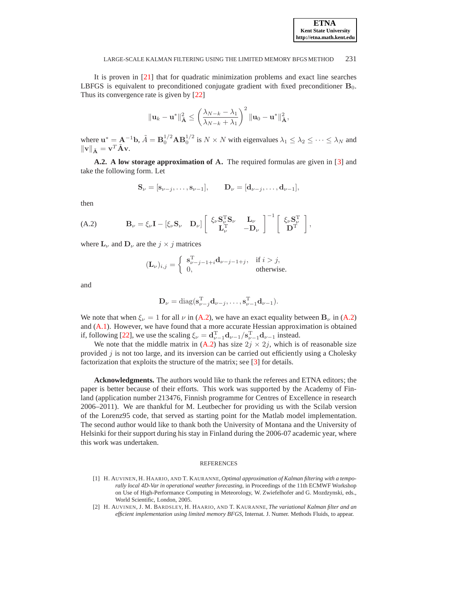It is proven in [\[21\]](#page-15-14) that for quadratic minimization problems and exact line searches LBFGS is equivalent to preconditioned conjugate gradient with fixed preconditioner  $B_0$ . Thus its convergence rate is given by  $[22]$ 

$$
\|\mathbf{u}_k - \mathbf{u}^*\|_{\mathbf{A}}^2 \le \left(\frac{\lambda_{N-k} - \lambda_1}{\lambda_{N-k} + \lambda_1}\right)^2 \|\mathbf{u}_0 - \mathbf{u}^*\|_{\mathbf{A}}^2,
$$

where  $\mathbf{u}^* = \mathbf{A}^{-1} \mathbf{b}$ ,  $\tilde{A} = \mathbf{B}_0^{1/2} \mathbf{A} \mathbf{B}_0^{1/2}$  is  $N \times N$  with eigenvalues  $\lambda_1 \leq \lambda_2 \leq \cdots \leq \lambda_N$  and  $\|\mathbf{v}\|_{\tilde{\mathbf{A}}} = \mathbf{v}^T \tilde{\mathbf{A}} \mathbf{v}.$ 

<span id="page-14-2"></span>**A.2. A low storage approximation of** A**.** The required formulas are given in [\[3\]](#page-15-24) and take the following form. Let

$$
\mathbf{S}_{\nu} = [\mathbf{s}_{\nu-j}, \ldots, \mathbf{s}_{\nu-1}], \qquad \mathbf{D}_{\nu} = [\mathbf{d}_{\nu-j}, \ldots, \mathbf{d}_{\nu-1}],
$$

then

<span id="page-14-3"></span>(A.2) 
$$
\mathbf{B}_{\nu} = \xi_{\nu} \mathbf{I} - [\xi_{\nu} \mathbf{S}_{\nu} \quad \mathbf{D}_{\nu}] \begin{bmatrix} \xi_{\nu} \mathbf{S}_{\nu}^{T} \mathbf{S}_{\nu} & \mathbf{L}_{\nu} \\ \mathbf{L}_{\nu}^{T} & -\mathbf{D}_{\nu} \end{bmatrix}^{-1} \begin{bmatrix} \xi_{\nu} \mathbf{S}_{\nu}^{T} \\ \mathbf{D}^{T} \end{bmatrix},
$$

where  $\mathbf{L}_{\nu}$  and  $\mathbf{D}_{\nu}$  are the  $j \times j$  matrices

$$
(\mathbf{L}_{\nu})_{i,j} = \begin{cases} \mathbf{s}_{\nu-j-1+i}^{\mathrm{T}} \mathbf{d}_{\nu-j-1+j}, & \text{if } i > j, \\ 0, & \text{otherwise.} \end{cases}
$$

and

$$
\mathbf{D}_{\nu} = \text{diag}(\mathbf{s}_{\nu-j}^{\mathrm{T}}\mathbf{d}_{\nu-j}, \dots, \mathbf{s}_{\nu-1}^{\mathrm{T}}\mathbf{d}_{\nu-1}).
$$

We note that when  $\xi_{\nu} = 1$  for all  $\nu$  in [\(A.2\)](#page-14-3), we have an exact equality between  $B_{\nu}$  in [\(A.2\)](#page-14-3) and [\(A.1\)](#page-13-1). However, we have found that a more accurate Hessian approximation is obtained if, following [\[22\]](#page-15-11), we use the scaling  $\xi_{\nu} = \mathbf{d}_{\nu-1}^{\mathrm{T}} \mathbf{d}_{\nu-1} / \mathbf{s}_{\nu-1}^{\mathrm{T}} \mathbf{d}_{\nu-1}$  instead.

We note that the middle matrix in [\(A.2\)](#page-14-3) has size  $2j \times 2j$ , which is of reasonable size provided  $j$  is not too large, and its inversion can be carried out efficiently using a Cholesky factorization that exploits the structure of the matrix; see [\[3\]](#page-15-24) for details.

**Acknowledgments.** The authors would like to thank the referees and ETNA editors; the paper is better because of their efforts. This work was supported by the Academy of Finland (application number 213476, Finnish programme for Centres of Excellence in research 2006–2011). We are thankful for M. Leutbecher for providing us with the Scilab version of the Lorenz95 code, that served as starting point for the Matlab model implementation. The second author would like to thank both the University of Montana and the University of Helsinki for their support during his stay in Finland during the 2006-07 academic year, where this work was undertaken.

#### **REFERENCES**

- <span id="page-14-1"></span>[1] H. AUVINEN, H. HAARIO, AND T. KAURANNE, *Optimal approximation of Kalman filtering with a temporally local 4D-Var in operational weather forecasting*, in Proceedings of the 11th ECMWF Workshop on Use of High-Performance Computing in Meteorology, W. Zwiefelhofer and G. Mozdzynski, eds., World Scientific, London, 2005.
- <span id="page-14-0"></span>[2] H. AUVINEN, J. M. BARDSLEY, H. HAARIO, AND T. KAURANNE, *The variational Kalman filter and an efficient implementation using limited memory BFGS*, Internat. J. Numer. Methods Fluids, to appear.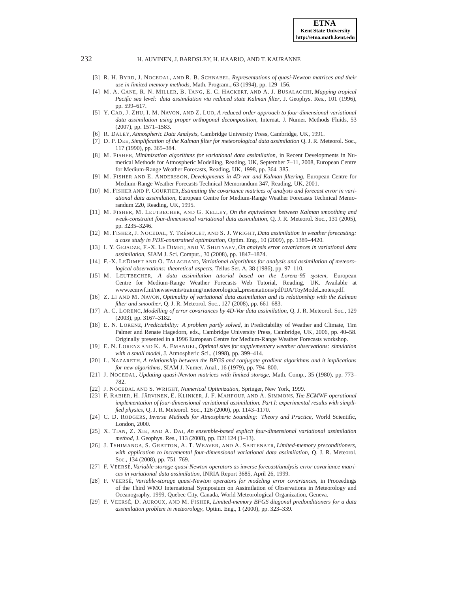- <span id="page-15-24"></span>[3] R. H. BYRD, J. NOCEDAL, AND R. B. SCHNABEL, *Representations of quasi-Newton matrices and their use in limited memory methods*, Math. Program., 63 (1994), pp. 129–156.
- <span id="page-15-0"></span>[4] M. A. CANE, R. N. MILLER, B. TANG, E. C. HACKERT, AND A. J. BUSALACCHI, *Mapping tropical Pacific sea level: data assimilation via reduced state Kalman filter*, J. Geophys. Res., 101 (1996), pp. 599–617.
- <span id="page-15-8"></span>[5] Y. CAO, J. ZHU, I. M. NAVON, AND Z. LUO, *A reduced order approach to four-dimensional variational data assimilation using proper orthogonal decomposition*, Internat. J. Numer. Methods Fluids, 53 (2007), pp. 1571–1583.
- <span id="page-15-15"></span>[6] R. DALEY, *Atmospheric Data Analysis*, Cambridge University Press, Cambridge, UK, 1991.
- <span id="page-15-1"></span>[7] D. P. DEE, *Simplification of the Kalman filter for meteorological data assimilation* Q. J. R. Meteorol. Soc., 117 (1990), pp. 365–384.
- <span id="page-15-9"></span>[8] M. FISHER, *Minimization algorithms for variational data assimilation*, in Recent Developments in Numerical Methods for Atmospheric Modelling, Reading, UK, September 7–11, 2008, European Centre for Medium-Range Weather Forecasts, Reading, UK, 1998, pp. 364–385.
- <span id="page-15-2"></span>[9] M. FISHER AND E. ANDERSSON, *Developments in 4D-var and Kalman filtering*, European Centre for Medium-Range Weather Forecasts Technical Memorandum 347, Reading, UK, 2001.
- <span id="page-15-16"></span>[10] M. FISHER AND P. COURTIER, *Estimating the covariance matrices of analysis and forecast error in variational data assimilation*, European Centre for Medium-Range Weather Forecasts Technical Memorandum 220, Reading, UK, 1995.
- <span id="page-15-4"></span>[11] M. FISHER, M. LEUTBECHER, AND G. KELLEY, *On the equivalence between Kalman smoothing and weak-constraint four-dimensional variational data assimilation*, Q. J. R. Meteorol. Soc., 131 (2005), pp. 3235–3246.
- <span id="page-15-17"></span><span id="page-15-10"></span>[12] M. FISHER, J. NOCEDAL, Y. TRÉMOLET, AND S. J. WRIGHT, *Data assimilation in weather forecasting: a case study in PDE-constrained optimization*, Optim. Eng., 10 (2009), pp. 1389–4420.
- [13] I. Y. GEJADZE, F.-X. LE DIMET, AND V. SHUTYAEV, *On analysis error covariances in variational data assimilation*, SIAM J. Sci. Comput., 30 (2008), pp. 1847–1874.
- <span id="page-15-5"></span>[14] F.-X. LEDIMET AND O. TALAGRAND, *Variational algorithms for analysis and assimilation of meteorological observations: theoretical aspects*, Tellus Ser. A, 38 (1986), pp. 97–110.
- <span id="page-15-23"></span>[15] M. LEUTBECHER, *A data assimilation tutorial based on the Lorenz-95 system*, European Centre for Medium-Range Weather Forecasts Web Tutorial, Reading, UK. Available at www.ecmwf.int/newsevents/training/meteorological presentations/pdf/DA/ToyModel notes.pdf.
- <span id="page-15-7"></span>[16] Z. LI AND M. NAVON, *Optimality of variational data assimilation and its relationship with the Kalman filter and smoother*, Q. J. R. Meteorol. Soc., 127 (2008), pp. 661–683.
- <span id="page-15-25"></span><span id="page-15-6"></span>[17] A. C. LORENC, *Modelling of error covariances by 4D-Var data assimilation*, Q. J. R. Meteorol. Soc., 129 (2003), pp. 3167–3182.
- [18] E. N. LORENZ, *Predictability: A problem partly solved*, in Predictability of Weather and Climate, Tim Palmer and Renate Hagedorn, eds., Cambridge University Press, Cambridge, UK, 2006, pp. 40–58. Originally presented in a 1996 European Centre for Medium-Range Weather Forecasts workshop.
- <span id="page-15-26"></span><span id="page-15-13"></span>[19] E. N. LORENZ AND K. A. EMANUEL, *Optimal sites for supplementary weather observations: simulation with a small model*, J. Atmospheric Sci., (1998), pp. 399–414.
- [20] L. NAZARETH, *A relationship between the BFGS and conjugate gradient algorithms and it implications for new algorithms*, SIAM J. Numer. Anal., 16 (1979), pp. 794–800.
- <span id="page-15-14"></span>[21] J. NOCEDAL, *Updating quasi-Newton matrices with limited storage*, Math. Comp., 35 (1980), pp. 773– 782.
- <span id="page-15-11"></span><span id="page-15-3"></span>[22] J. NOCEDAL AND S. WRIGHT, *Numerical Optimization*, Springer, New York, 1999.
- [23] F. RABIER, H. JÄRVINEN, E. KLINKER, J. F. MAHFOUF, AND A. SIMMONS, *The ECMWF operational implementation of four-dimensional variational assimilation. Part I: experimental results with simplified physics*, Q. J. R. Meteorol. Soc., 126 (2000), pp. 1143–1170.
- <span id="page-15-22"></span>[24] C. D. RODGERS, *Inverse Methods for Atmospheric Sounding: Theory and Practice*, World Scientific, London, 2000.
- <span id="page-15-18"></span>[25] X. TIAN, Z. XIE, AND A. DAI, *An ensemble-based explicit four-dimensional variational assimilation method*, J. Geophys. Res., 113 (2008), pp. D21124 (1–13).
- <span id="page-15-12"></span>[26] J. TSHIMANGA, S. GRATTON, A. T. WEAVER, AND A. SARTENAER, *Limited-memory preconditioners, with application to incremental four-dimensional variational data assimilation*, Q. J. R. Meteorol. Soc., 134 (2008), pp. 751–769.
- <span id="page-15-19"></span>[27] F. VEERSE´, *Variable-storage quasi-Newton operators as inverse forecast/analysis error covariance matrices in variational data assimilation*, INRIA Report 3685, April 26, 1999.
- <span id="page-15-20"></span>[28] F. VEERSE´, *Variable-storage quasi-Newton operators for modeling error covariances*, in Proceedings of the Third WMO International Symposium on Assimilation of Observations in Meteorology and Oceanography, 1999, Quebec City, Canada, World Meteorological Organization, Geneva.
- <span id="page-15-21"></span>[29] F. VEERSE´, D. AUROUX, AND M. FISHER, *Limited-memory BFGS diagonal predonditioners for a data assimilation problem in meteorology*, Optim. Eng., 1 (2000), pp. 323–339.